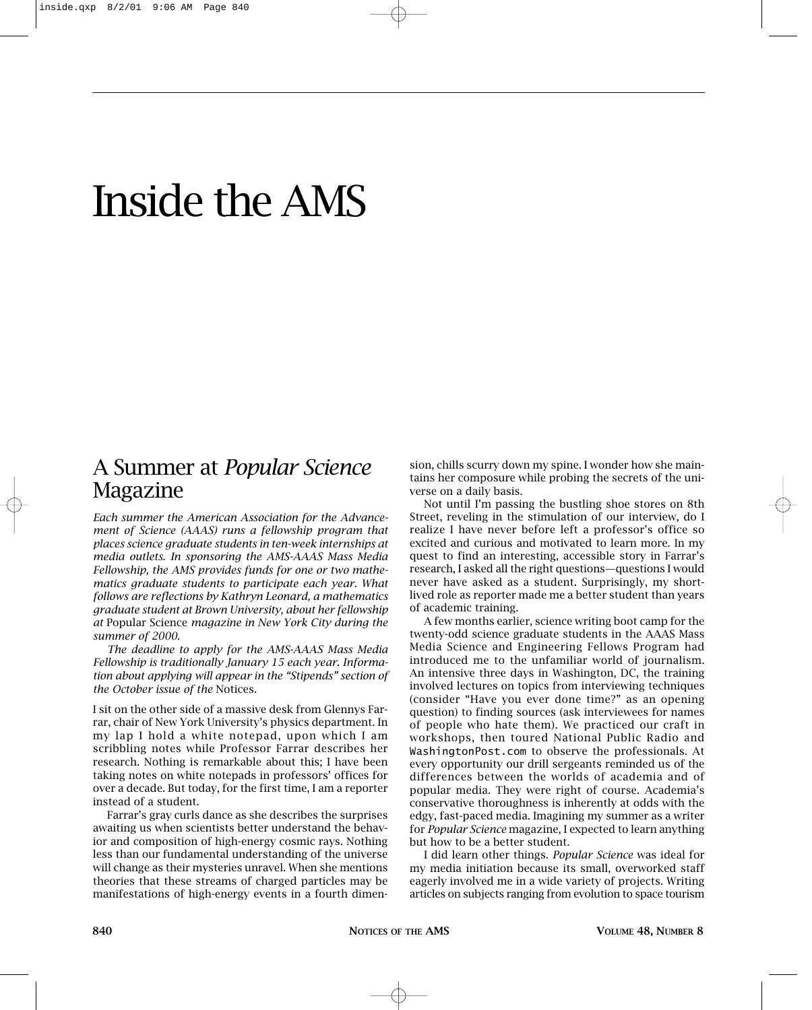## Inside the AMS

## A Summer at *Popular Science* Magazine

*Each summer the American Association for the Advancement of Science (AAAS) runs a fellowship program that places science graduate students in ten-week internships at media outlets. In sponsoring the AMS-AAAS Mass Media Fellowship, the AMS provides funds for one or two mathematics graduate students to participate each year. What follows are reflections by Kathryn Leonard, a mathematics graduate student at Brown University, about her fellowship at* Popular Science *magazine in New York City during the summer of 2000.*

*The deadline to apply for the AMS-AAAS Mass Media Fellowship is traditionally January 15 each year. Information about applying will appear in the "Stipends" section of the October issue of the* Notices.

I sit on the other side of a massive desk from Glennys Farrar, chair of New York University's physics department. In my lap I hold a white notepad, upon which I am scribbling notes while Professor Farrar describes her research. Nothing is remarkable about this; I have been taking notes on white notepads in professors' offices for over a decade. But today, for the first time, I am a reporter instead of a student.

Farrar's gray curls dance as she describes the surprises awaiting us when scientists better understand the behavior and composition of high-energy cosmic rays. Nothing less than our fundamental understanding of the universe will change as their mysteries unravel. When she mentions theories that these streams of charged particles may be manifestations of high-energy events in a fourth dimension, chills scurry down my spine. I wonder how she maintains her composure while probing the secrets of the universe on a daily basis.

Not until I'm passing the bustling shoe stores on 8th Street, reveling in the stimulation of our interview, do I realize I have never before left a professor's office so excited and curious and motivated to learn more. In my quest to find an interesting, accessible story in Farrar's research, I asked all the right questions—questions I would never have asked as a student. Surprisingly, my shortlived role as reporter made me a better student than years of academic training.

A few months earlier, science writing boot camp for the twenty-odd science graduate students in the AAAS Mass Media Science and Engineering Fellows Program had introduced me to the unfamiliar world of journalism. An intensive three days in Washington, DC, the training involved lectures on topics from interviewing techniques (consider "Have you ever done time?" as an opening question) to finding sources (ask interviewees for names of people who hate them). We practiced our craft in workshops, then toured National Public Radio and WashingtonPost.com to observe the professionals. At every opportunity our drill sergeants reminded us of the differences between the worlds of academia and of popular media. They were right of course. Academia's conservative thoroughness is inherently at odds with the edgy, fast-paced media. Imagining my summer as a writer for *Popular Science* magazine, I expected to learn anything but how to be a better student.

I did learn other things. *Popular Science* was ideal for my media initiation because its small, overworked staff eagerly involved me in a wide variety of projects. Writing articles on subjects ranging from evolution to space tourism